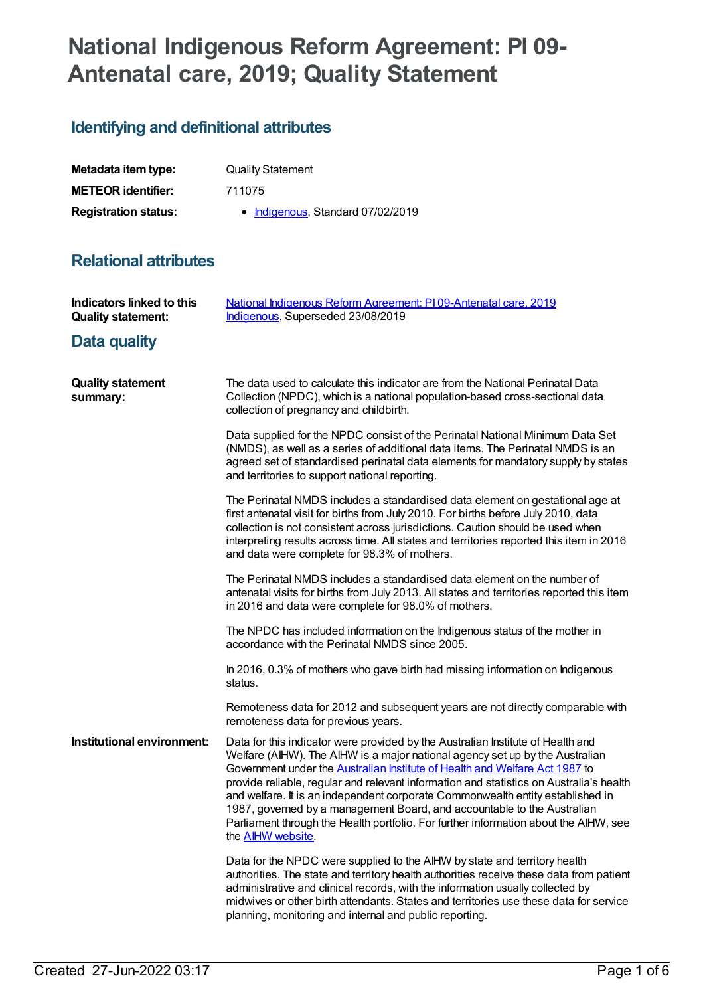# **National Indigenous Reform Agreement: PI 09- Antenatal care, 2019; Quality Statement**

## **Identifying and definitional attributes**

| Metadata item type:         | <b>Quality Statement</b>          |
|-----------------------------|-----------------------------------|
| <b>METEOR identifier:</b>   | 711075                            |
| <b>Registration status:</b> | • Indigenous, Standard 07/02/2019 |

## **Relational attributes**

| Indicators linked to this<br><b>Quality statement:</b> | National Indigenous Reform Agreement: PI09-Antenatal care, 2019<br>Indigenous, Superseded 23/08/2019                                                                                                                                                                                                                                                                                                                                                                                                                                                                                                                       |
|--------------------------------------------------------|----------------------------------------------------------------------------------------------------------------------------------------------------------------------------------------------------------------------------------------------------------------------------------------------------------------------------------------------------------------------------------------------------------------------------------------------------------------------------------------------------------------------------------------------------------------------------------------------------------------------------|
| Data quality                                           |                                                                                                                                                                                                                                                                                                                                                                                                                                                                                                                                                                                                                            |
| <b>Quality statement</b><br>summary:                   | The data used to calculate this indicator are from the National Perinatal Data<br>Collection (NPDC), which is a national population-based cross-sectional data<br>collection of pregnancy and childbirth.                                                                                                                                                                                                                                                                                                                                                                                                                  |
|                                                        | Data supplied for the NPDC consist of the Perinatal National Minimum Data Set<br>(NMDS), as well as a series of additional data items. The Perinatal NMDS is an<br>agreed set of standardised perinatal data elements for mandatory supply by states<br>and territories to support national reporting.                                                                                                                                                                                                                                                                                                                     |
|                                                        | The Perinatal NMDS includes a standardised data element on gestational age at<br>first antenatal visit for births from July 2010. For births before July 2010, data<br>collection is not consistent across jurisdictions. Caution should be used when<br>interpreting results across time. All states and territories reported this item in 2016<br>and data were complete for 98.3% of mothers.                                                                                                                                                                                                                           |
|                                                        | The Perinatal NMDS includes a standardised data element on the number of<br>antenatal visits for births from July 2013. All states and territories reported this item<br>in 2016 and data were complete for 98.0% of mothers.                                                                                                                                                                                                                                                                                                                                                                                              |
|                                                        | The NPDC has included information on the Indigenous status of the mother in<br>accordance with the Perinatal NMDS since 2005.                                                                                                                                                                                                                                                                                                                                                                                                                                                                                              |
|                                                        | In 2016, 0.3% of mothers who gave birth had missing information on Indigenous<br>status.                                                                                                                                                                                                                                                                                                                                                                                                                                                                                                                                   |
|                                                        | Remoteness data for 2012 and subsequent years are not directly comparable with<br>remoteness data for previous years.                                                                                                                                                                                                                                                                                                                                                                                                                                                                                                      |
| Institutional environment:                             | Data for this indicator were provided by the Australian Institute of Health and<br>Welfare (AIHW). The AIHW is a major national agency set up by the Australian<br>Government under the Australian Institute of Health and Welfare Act 1987 to<br>provide reliable, regular and relevant information and statistics on Australia's health<br>and welfare. It is an independent corporate Commonwealth entity established in<br>1987, governed by a management Board, and accountable to the Australian<br>Parliament through the Health portfolio. For further information about the AIHW, see<br>the <b>AIHW</b> website. |
|                                                        | Data for the NPDC were supplied to the AIHW by state and territory health<br>authorities. The state and territory health authorities receive these data from patient<br>administrative and clinical records, with the information usually collected by<br>midwives or other birth attendants. States and territories use these data for service<br>planning, monitoring and internal and public reporting.                                                                                                                                                                                                                 |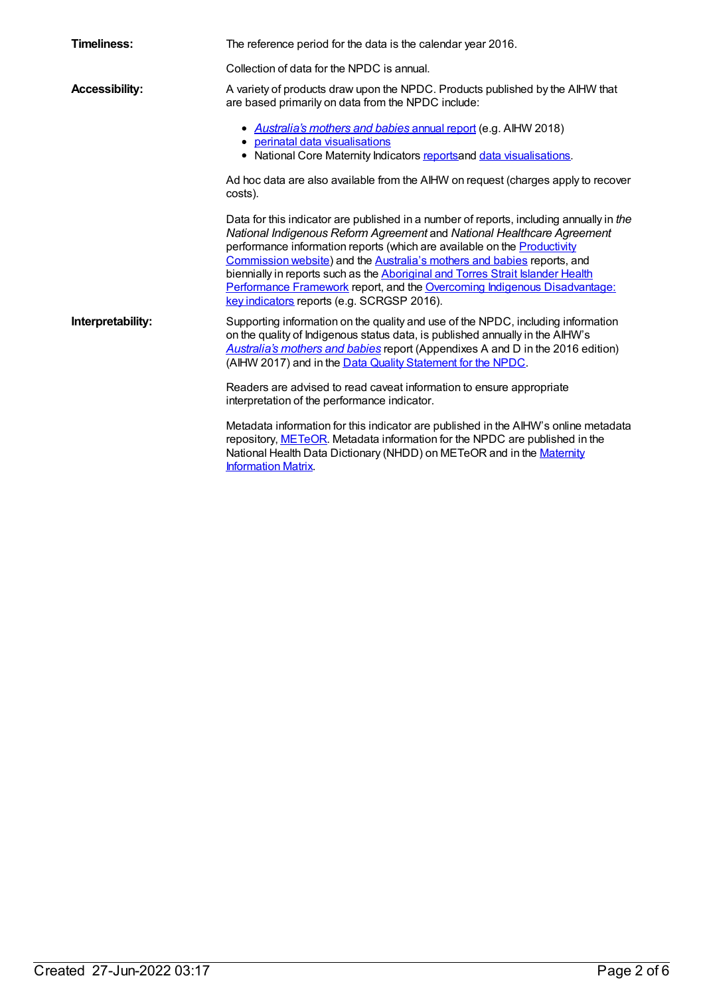| Timeliness:           | The reference period for the data is the calendar year 2016.                                                                                                                                                                                                                                                                                                                                                                                                                                                                          |
|-----------------------|---------------------------------------------------------------------------------------------------------------------------------------------------------------------------------------------------------------------------------------------------------------------------------------------------------------------------------------------------------------------------------------------------------------------------------------------------------------------------------------------------------------------------------------|
|                       | Collection of data for the NPDC is annual.                                                                                                                                                                                                                                                                                                                                                                                                                                                                                            |
| <b>Accessibility:</b> | A variety of products draw upon the NPDC. Products published by the AIHW that<br>are based primarily on data from the NPDC include:                                                                                                                                                                                                                                                                                                                                                                                                   |
|                       | • Australia's mothers and babies annual report (e.g. AlHW 2018)<br>• perinatal data visualisations<br>• National Core Maternity Indicators reportsand data visualisations.                                                                                                                                                                                                                                                                                                                                                            |
|                       | Ad hoc data are also available from the AIHW on request (charges apply to recover<br>costs).                                                                                                                                                                                                                                                                                                                                                                                                                                          |
|                       | Data for this indicator are published in a number of reports, including annually in the<br>National Indigenous Reform Agreement and National Healthcare Agreement<br>performance information reports (which are available on the Productivity<br>Commission website) and the Australia's mothers and babies reports, and<br>biennially in reports such as the Aboriginal and Torres Strait Islander Health<br>Performance Framework report, and the Overcoming Indigenous Disadvantage:<br>key indicators reports (e.g. SCRGSP 2016). |
| Interpretability:     | Supporting information on the quality and use of the NPDC, including information<br>on the quality of Indigenous status data, is published annually in the AIHW's<br>Australia's mothers and babies report (Appendixes A and D in the 2016 edition)<br>(AIHW 2017) and in the Data Quality Statement for the NPDC.                                                                                                                                                                                                                    |
|                       | Readers are advised to read caveat information to ensure appropriate<br>interpretation of the performance indicator.                                                                                                                                                                                                                                                                                                                                                                                                                  |
|                       | Metadata information for this indicator are published in the AIHW's online metadata<br>repository, METeOR. Metadata information for the NPDC are published in the<br>National Health Data Dictionary (NHDD) on METeOR and in the Maternity<br><b>Information Matrix</b>                                                                                                                                                                                                                                                               |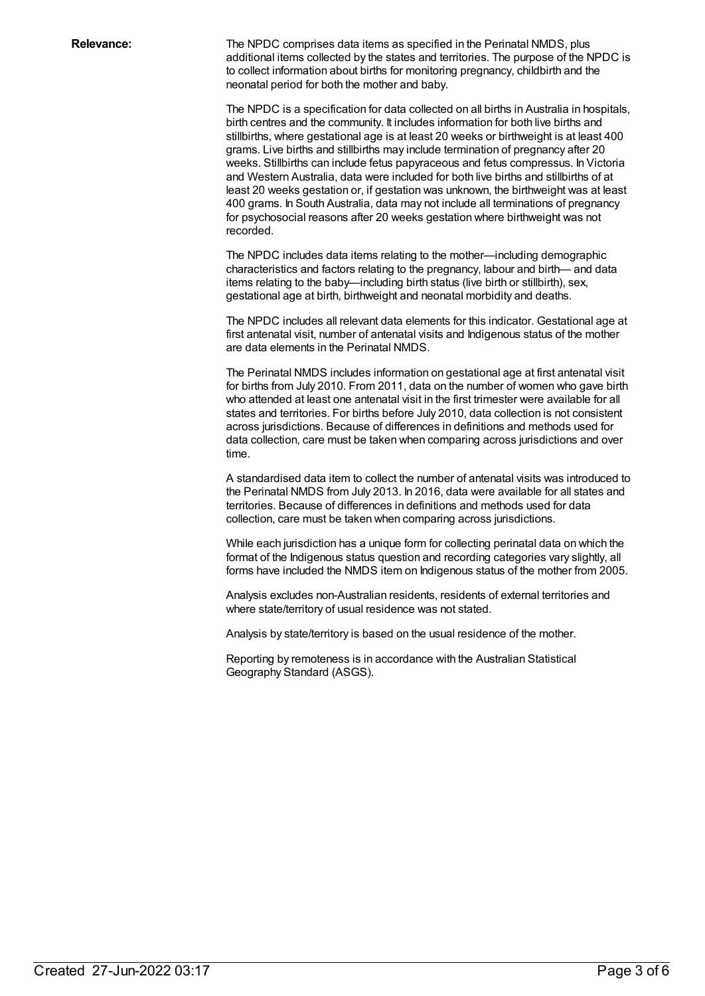**Relevance:** The NPDC comprises data items as specified in the Perinatal NMDS, plus additional items collected by the states and territories. The purpose of the NPDC is to collect information about births for monitoring pregnancy, childbirth and the neonatal period for both the mother and baby.

> The NPDC is a specification for data collected on all births in Australia in hospitals, birth centres and the community. It includes information for both live births and stillbirths, where gestational age is at least 20 weeks or birthweight is at least 400 grams. Live births and stillbirths may include termination of pregnancy after 20 weeks. Stillbirths can include fetus papyraceous and fetus compressus. In Victoria and Western Australia, data were included for both live births and stillbirths of at least 20 weeks gestation or, if gestation was unknown, the birthweight was at least 400 grams. In South Australia, data may not include all terminations of pregnancy for psychosocial reasons after 20 weeks gestation where birthweight was not recorded.

The NPDC includes data items relating to the mother—including demographic characteristics and factors relating to the pregnancy, labour and birth— and data items relating to the baby—including birth status (live birth or stillbirth), sex, gestational age at birth, birthweight and neonatal morbidity and deaths.

The NPDC includes all relevant data elements for this indicator. Gestational age at first antenatal visit, number of antenatal visits and Indigenous status of the mother are data elements in the Perinatal NMDS.

The Perinatal NMDS includes information on gestational age at first antenatal visit for births from July 2010. From 2011, data on the number of women who gave birth who attended at least one antenatal visit in the first trimester were available for all states and territories. For births before July 2010, data collection is not consistent across jurisdictions. Because of differences in definitions and methods used for data collection, care must be taken when comparing across jurisdictions and over time.

A standardised data item to collect the number of antenatal visits was introduced to the Perinatal NMDS from July 2013. In 2016, data were available for all states and territories. Because of differences in definitions and methods used for data collection, care must be taken when comparing across jurisdictions.

While each jurisdiction has a unique form for collecting perinatal data on which the format of the Indigenous status question and recording categories vary slightly, all forms have included the NMDS item on Indigenous status of the mother from 2005.

Analysis excludes non-Australian residents, residents of external territories and where state/territory of usual residence was not stated.

Analysis by state/territory is based on the usual residence of the mother.

Reporting by remoteness is in accordance with the Australian Statistical Geography Standard (ASGS).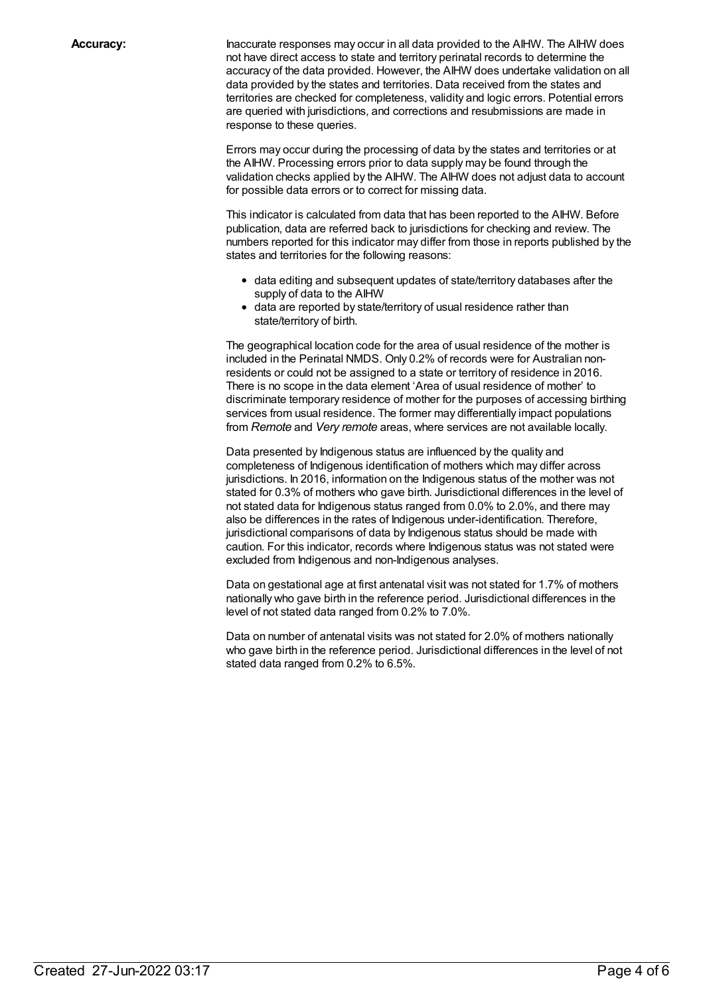**Accuracy:** Inaccurate responses may occur in all data provided to the AIHW. The AIHW does not have direct access to state and territory perinatal records to determine the accuracy of the data provided. However, the AIHW does undertake validation on all data provided by the states and territories. Data received from the states and territories are checked for completeness, validity and logic errors. Potential errors are queried with jurisdictions, and corrections and resubmissions are made in response to these queries.

> Errors may occur during the processing of data by the states and territories or at the AIHW. Processing errors prior to data supply may be found through the validation checks applied by the AIHW. The AIHW does not adjust data to account for possible data errors or to correct for missing data.

This indicator is calculated from data that has been reported to the AIHW. Before publication, data are referred back to jurisdictions for checking and review. The numbers reported for this indicator may differ from those in reports published by the states and territories for the following reasons:

- data editing and subsequent updates of state/territory databases after the supply of data to the AIHW
- data are reported by state/territory of usual residence rather than state/territory of birth.

The geographical location code for the area of usual residence of the mother is included in the Perinatal NMDS. Only 0.2% of records were for Australian nonresidents or could not be assigned to a state or territory of residence in 2016. There is no scope in the data element 'Area of usual residence of mother' to discriminate temporary residence of mother for the purposes of accessing birthing services from usual residence. The former may differentially impact populations from *Remote* and *Very remote* areas, where services are not available locally.

Data presented by Indigenous status are influenced by the quality and completeness of Indigenous identification of mothers which may differ across jurisdictions. In 2016, information on the Indigenous status of the mother was not stated for 0.3% of mothers who gave birth. Jurisdictional differences in the level of not stated data for Indigenous status ranged from 0.0% to 2.0%, and there may also be differences in the rates of Indigenous under-identification. Therefore, jurisdictional comparisons of data by Indigenous status should be made with caution. For this indicator, records where Indigenous status was not stated were excluded from Indigenous and non-Indigenous analyses.

Data on gestational age at first antenatal visit was not stated for 1.7% of mothers nationally who gave birth in the reference period. Jurisdictional differences in the level of not stated data ranged from 0.2% to 7.0%.

Data on number of antenatal visits was not stated for 2.0% of mothers nationally who gave birth in the reference period. Jurisdictional differences in the level of not stated data ranged from 0.2% to 6.5%.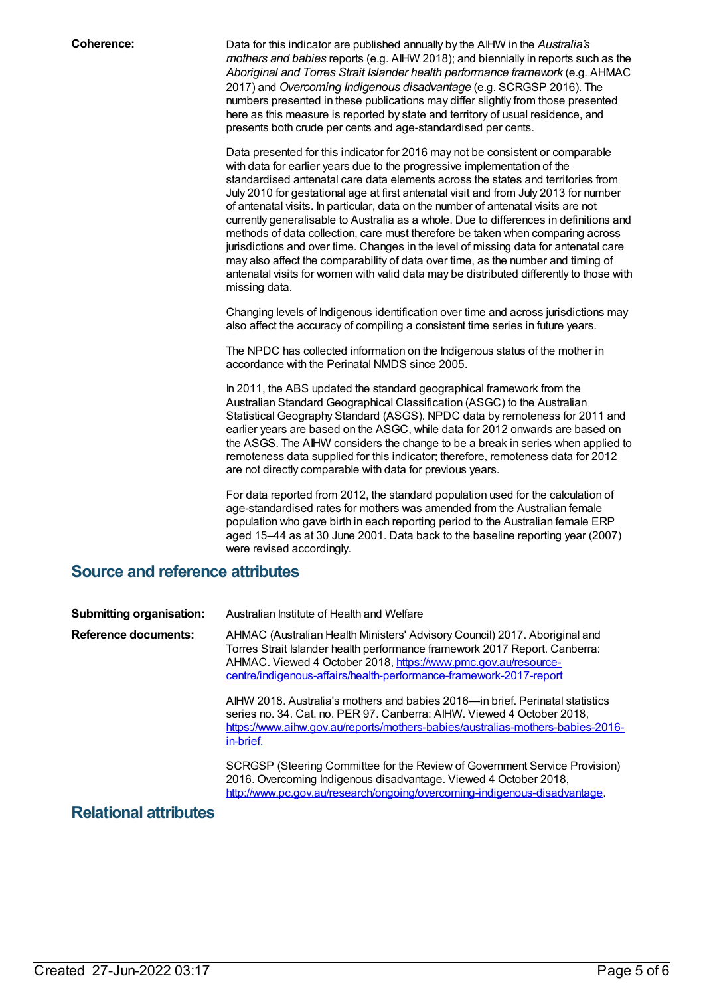**Coherence:** Data for this indicator are published annually by the AIHW in the *Australia's mothers and babies* reports (e.g. AIHW 2018); and biennially in reports such as the *Aboriginal and Torres Strait Islander health performance framework* (e.g. AHMAC 2017) and *Overcoming Indigenous disadvantage* (e.g. SCRGSP 2016). The numbers presented in these publications may differ slightly from those presented here as this measure is reported by state and territory of usual residence, and presents both crude per cents and age-standardised per cents.

> Data presented for this indicator for 2016 may not be consistent or comparable with data for earlier years due to the progressive implementation of the standardised antenatal care data elements across the states and territories from July 2010 for gestational age at first antenatal visit and from July 2013 for number of antenatal visits. In particular, data on the number of antenatal visits are not currently generalisable to Australia as a whole. Due to differences in definitions and methods of data collection, care must therefore be taken when comparing across jurisdictions and over time. Changes in the level of missing data for antenatal care may also affect the comparability of data over time, as the number and timing of antenatal visits for women with valid data may be distributed differently to those with missing data.

> Changing levels of Indigenous identification over time and across jurisdictions may also affect the accuracy of compiling a consistent time series in future years.

The NPDC has collected information on the Indigenous status of the mother in accordance with the Perinatal NMDS since 2005.

In 2011, the ABS updated the standard geographical framework from the Australian Standard Geographical Classification (ASGC) to the Australian Statistical Geography Standard (ASGS). NPDC data by remoteness for 2011 and earlier years are based on the ASGC, while data for 2012 onwards are based on the ASGS. The AIHW considers the change to be a break in series when applied to remoteness data supplied for this indicator; therefore, remoteness data for 2012 are not directly comparable with data for previous years.

For data reported from 2012, the standard population used for the calculation of age-standardised rates for mothers was amended from the Australian female population who gave birth in each reporting period to the Australian female ERP aged 15–44 as at 30 June 2001. Data back to the baseline reporting year (2007) were revised accordingly.

### **Source and reference attributes**

| <b>Submitting organisation:</b> | Australian Institute of Health and Welfare                                                                                                                                                                                                                                                       |
|---------------------------------|--------------------------------------------------------------------------------------------------------------------------------------------------------------------------------------------------------------------------------------------------------------------------------------------------|
| <b>Reference documents:</b>     | AHMAC (Australian Health Ministers' Advisory Council) 2017. Aboriginal and<br>Torres Strait Islander health performance framework 2017 Report. Canberra:<br>AHMAC. Viewed 4 October 2018, https://www.pmc.gov.au/resource-<br>centre/indigenous-affairs/health-performance-framework-2017-report |
|                                 | AIHW 2018. Australia's mothers and babies 2016—in brief. Perinatal statistics<br>series no. 34. Cat. no. PER 97. Canberra: AIHW. Viewed 4 October 2018,<br>https://www.aihw.gov.au/reports/mothers-babies/australias-mothers-babies-2016-<br>in-brief.                                           |
|                                 | SCRGSP (Steering Committee for the Review of Government Service Provision)<br>2016. Overcoming Indigenous disadvantage. Viewed 4 October 2018,<br>http://www.pc.gov.au/research/ongoing/overcoming-indigenous-disadvantage.                                                                      |
|                                 |                                                                                                                                                                                                                                                                                                  |

#### **Relational attributes**